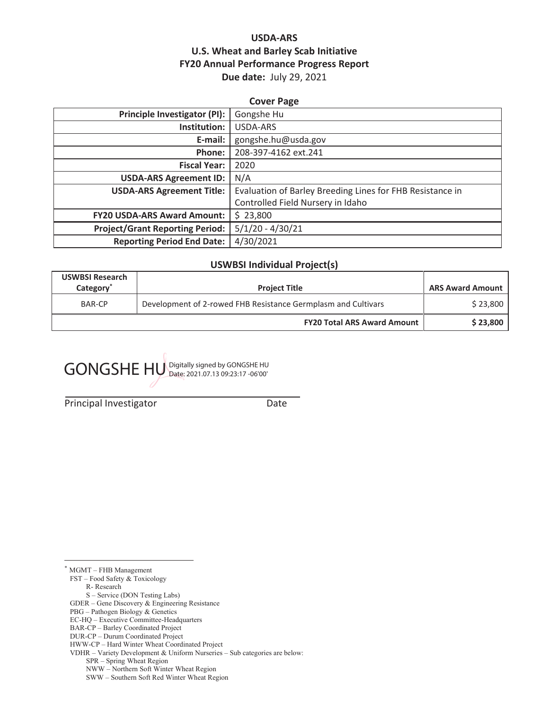## **USDA-ARS U.S. Wheat and Barley Scab Initiative FY20 Annual Performance Progress Report Due date:** July 29, 2021

## **Cover Page Principle Investigator (PI):** Gongshe Hu **Institution:** USDA-ARS **E-mail:** gongshe.hu@usda.gov **Phone:** 208-397-4162 ext.241 **Fiscal Year:** 2020 **USDA-ARS Agreement ID:** N/A **USDA-ARS Agreement Title:** | Evaluation of Barley Breeding Lines for FHB Resistance in Controlled Field Nursery in Idaho **FY20 USDA-ARS Award Amount:** \$ 23,800 **Project/Grant Reporting Period:** 5/1/20 - 4/30/21 **Reporting Period End Date:** 4/30/2021

### **USWBSI Individual Project(s)**

| <b>USWBSI Research</b><br>Category <sup>®</sup> | <b>Project Title</b>                                          | <b>ARS Award Amount</b> |
|-------------------------------------------------|---------------------------------------------------------------|-------------------------|
| BAR-CP                                          | Development of 2-rowed FHB Resistance Germplasm and Cultivars | \$23,800                |
|                                                 | <b>FY20 Total ARS Award Amount</b>                            | \$23,800                |

GONGSHE HU Digitally signed by GONGSHE HU

Principal Investigator **Date** 

\* MGMT – FHB Management

FST – Food Safety & Toxicology

- R- Research
- S Service (DON Testing Labs)
- GDER Gene Discovery & Engineering Resistance
- PBG Pathogen Biology & Genetics
- EC-HQ Executive Committee-Headquarters BAR-CP – Barley Coordinated Project
- DUR-CP Durum Coordinated Project

SPR – Spring Wheat Region

HWW-CP – Hard Winter Wheat Coordinated Project

VDHR – Variety Development & Uniform Nurseries – Sub categories are below:

NWW – Northern Soft Winter Wheat Region

SWW – Southern Soft Red Winter Wheat Region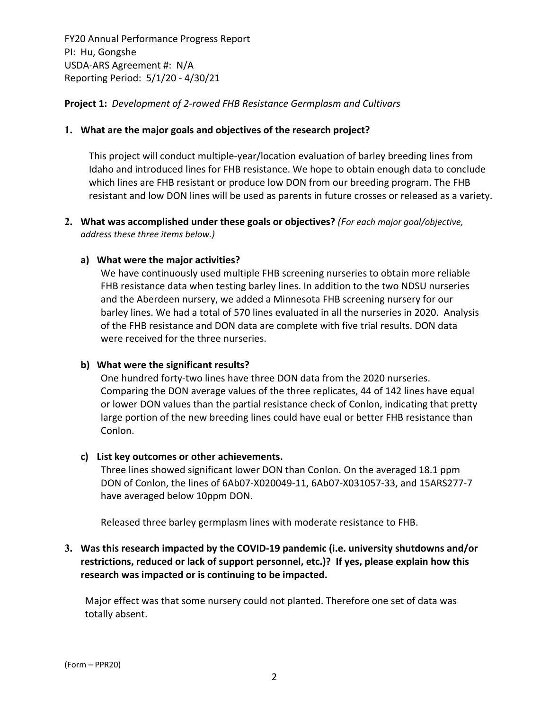**Project 1:** *Development of 2‐rowed FHB Resistance Germplasm and Cultivars*

## **1. What are the major goals and objectives of the research project?**

This project will conduct multiple‐year/location evaluation of barley breeding lines from Idaho and introduced lines for FHB resistance. We hope to obtain enough data to conclude which lines are FHB resistant or produce low DON from our breeding program. The FHB resistant and low DON lines will be used as parents in future crosses or released as a variety.

**2. What was accomplished under these goals or objectives?** *(For each major goal/objective, address these three items below.)*

## **a) What were the major activities?**

We have continuously used multiple FHB screening nurseries to obtain more reliable FHB resistance data when testing barley lines. In addition to the two NDSU nurseries and the Aberdeen nursery, we added a Minnesota FHB screening nursery for our barley lines. We had a total of 570 lines evaluated in all the nurseries in 2020. Analysis of the FHB resistance and DON data are complete with five trial results. DON data were received for the three nurseries.

### **b) What were the significant results?**

One hundred forty‐two lines have three DON data from the 2020 nurseries. Comparing the DON average values of the three replicates, 44 of 142 lines have equal or lower DON values than the partial resistance check of Conlon, indicating that pretty large portion of the new breeding lines could have eual or better FHB resistance than Conlon.

### **c) List key outcomes or other achievements.**

Three lines showed significant lower DON than Conlon. On the averaged 18.1 ppm DON of Conlon, the lines of 6Ab07‐X020049‐11, 6Ab07‐X031057‐33, and 15ARS277‐7 have averaged below 10ppm DON.

Released three barley germplasm lines with moderate resistance to FHB.

## **3. Was this research impacted by the COVID‐19 pandemic (i.e. university shutdowns and/or restrictions, reduced or lack of support personnel, etc.)? If yes, please explain how this research was impacted or is continuing to be impacted.**

Major effect was that some nursery could not planted. Therefore one set of data was totally absent.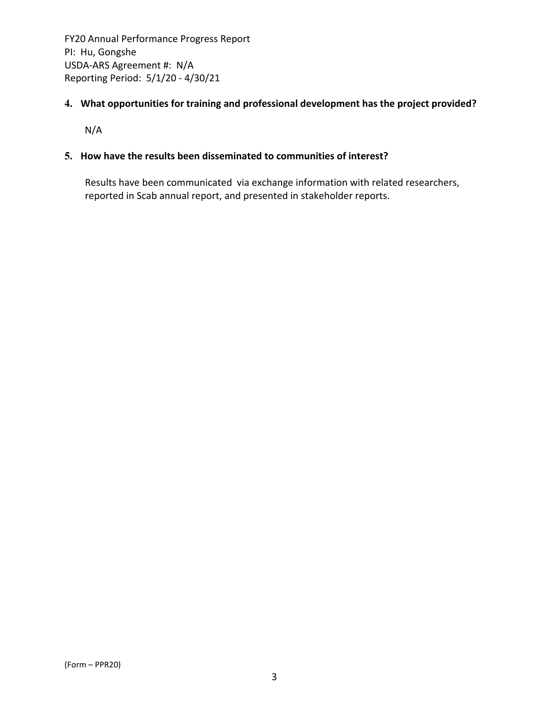## **4. What opportunities for training and professional development has the project provided?**

N/A

## **5. How have the results been disseminated to communities of interest?**

Results have been communicated via exchange information with related researchers, reported in Scab annual report, and presented in stakeholder reports.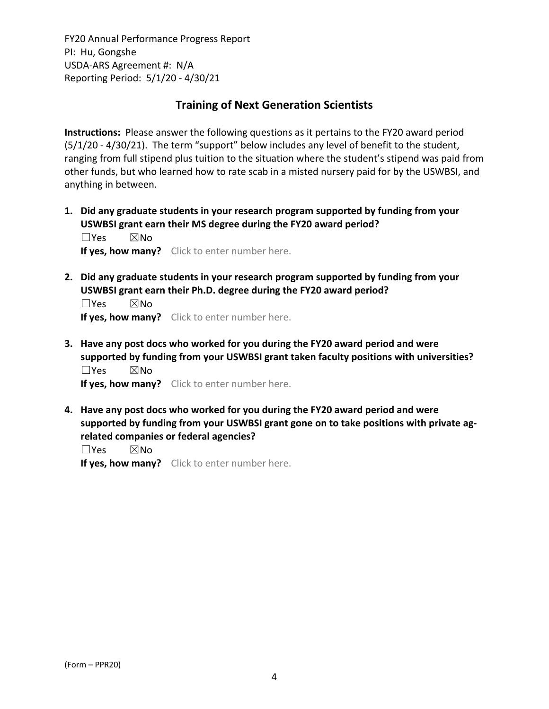## **Training of Next Generation Scientists**

**Instructions:** Please answer the following questions as it pertains to the FY20 award period (5/1/20 ‐ 4/30/21). The term "support" below includes any level of benefit to the student, ranging from full stipend plus tuition to the situation where the student's stipend was paid from other funds, but who learned how to rate scab in a misted nursery paid for by the USWBSI, and anything in between.

**1. Did any graduate students in your research program supported by funding from your USWBSI grant earn their MS degree during the FY20 award period?** ☐Yes ☒No

**If yes, how many?** Click to enter number here.

**2. Did any graduate students in your research program supported by funding from your USWBSI grant earn their Ph.D. degree during the FY20 award period?**

☐Yes ☒No **If yes, how many?** Click to enter number here.

**3. Have any post docs who worked for you during the FY20 award period and were supported by funding from your USWBSI grant taken faculty positions with universities?** ☐Yes ☒No

**If yes, how many?** Click to enter number here.

**4. Have any post docs who worked for you during the FY20 award period and were supported by funding from your USWBSI grant gone on to take positions with private ag‐ related companies or federal agencies?**

☐Yes ☒No

**If yes, how many?** Click to enter number here.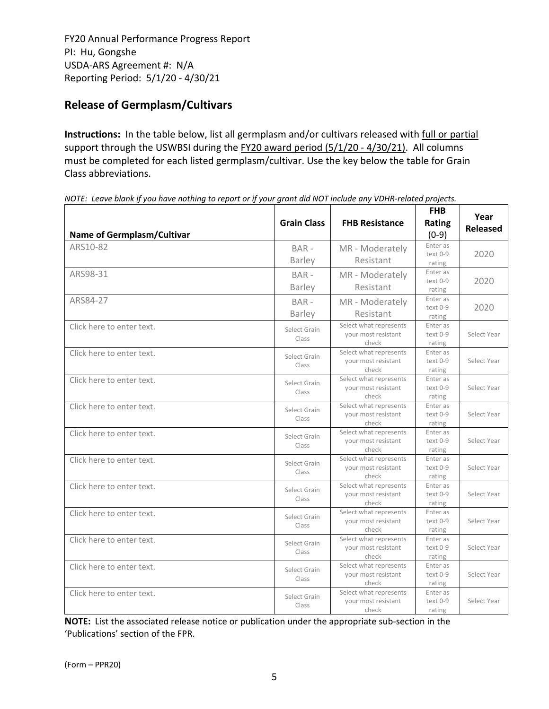# **Release of Germplasm/Cultivars**

**Instructions:** In the table below, list all germplasm and/or cultivars released with full or partial support through the USWBSI during the FY20 award period (5/1/20 - 4/30/21). All columns must be completed for each listed germplasm/cultivar. Use the key below the table for Grain Class abbreviations. 

| <b>Name of Germplasm/Cultivar</b> | <b>Grain Class</b>       | <b>FHB Resistance</b>                                  | <b>FHB</b><br>Rating<br>$(0-9)$  | Year<br><b>Released</b> |
|-----------------------------------|--------------------------|--------------------------------------------------------|----------------------------------|-------------------------|
| ARS10-82                          | BAR-<br><b>Barley</b>    | MR - Moderately<br>Resistant                           | Enter as<br>text 0-9<br>rating   | 2020                    |
| ARS98-31                          | $BAR -$<br><b>Barley</b> | MR - Moderately<br>Resistant                           | Enter as<br>text 0-9<br>rating   | 2020                    |
| ARS84-27                          | BAR-<br>Barley           | MR - Moderately<br>Resistant                           | Enter as<br>text 0-9<br>rating   | 2020                    |
| Click here to enter text.         | Select Grain<br>Class    | Select what represents<br>your most resistant<br>check | Enter as<br>$text 0-9$<br>rating | Select Year             |
| Click here to enter text.         | Select Grain<br>Class    | Select what represents<br>your most resistant<br>check | Enter as<br>text 0-9<br>rating   | Select Year             |
| Click here to enter text.         | Select Grain<br>Class    | Select what represents<br>your most resistant<br>check | Enter as<br>text 0-9<br>rating   | Select Year             |
| Click here to enter text.         | Select Grain<br>Class    | Select what represents<br>your most resistant<br>check | Enter as<br>text 0-9<br>rating   | Select Year             |
| Click here to enter text.         | Select Grain<br>Class    | Select what represents<br>your most resistant<br>check | Enter as<br>text 0-9<br>rating   | Select Year             |
| Click here to enter text.         | Select Grain<br>Class    | Select what represents<br>your most resistant<br>check | Enter as<br>text 0-9<br>rating   | Select Year             |
| Click here to enter text.         | Select Grain<br>Class    | Select what represents<br>your most resistant<br>check | Enter as<br>text 0-9<br>rating   | Select Year             |
| Click here to enter text.         | Select Grain<br>Class    | Select what represents<br>your most resistant<br>check | Enter as<br>text 0-9<br>rating   | Select Year             |
| Click here to enter text.         | Select Grain<br>Class    | Select what represents<br>your most resistant<br>check | Enter as<br>text 0-9<br>rating   | Select Year             |
| Click here to enter text.         | Select Grain<br>Class    | Select what represents<br>your most resistant<br>check | Enter as<br>text 0-9<br>rating   | Select Year             |
| Click here to enter text.         | Select Grain<br>Class    | Select what represents<br>your most resistant<br>check | Enter as<br>text 0-9<br>rating   | Select Year             |

NOTE: Leave blank if you have nothing to report or if your grant did NOT include any VDHR-related projects.

**NOTE:** List the associated release notice or publication under the appropriate sub-section in the 'Publications' section of the FPR.